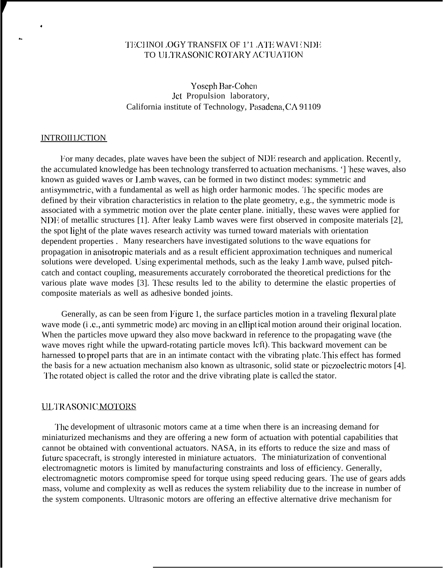# TECHNOLOGY TRANSFIX OF 1'1 ATE WAVE NDE TO ULTRASONIC ROTARY ACTUATION

Yoseph Bar-Cohen .lct Propulsion laboratory, California institute of Technology, Pasadena, CA 91109

## INTROII1JCTION

For many decades, plate waves have been the subject of NDE research and application. Recently, the accumulated knowledge has been technology transferred to actuation mechanisms. '] 'hese waves, also known as guided waves or lamb waves, can be formed in two distinct modes: symmetric and antisymmctric, with a fundamental as well as high order harmonic modes. '1'hc specific modes are defined by their vibration characteristics in relation to the plate geometry, e.g., the symmetric mode is associated with a symmetric motion over the plate center plane. initially, these waves were applied for NDE of metallic structures [1]. After leaky Lamb waves were first observed in composite materials [2], the spot light of the plate waves research activity was turned toward materials with orientation dependent properties . Many researchers have investigated solutions to the wave equations for propagation in anisotropic materials and as a result efficient approximation techniques and numerical solutions were developed. Using experimental methods, such as the leaky 1.amb wave, pulsed pitchcatch and contact coupling, measurements accurately corroborated the theoretical predictions for the various plate wave modes [3]. '1'hcsc results led to the ability to determine the elastic properties of composite materials as well as adhesive bonded joints.

Generally, as can be seen from Figure 1, the surface particles motion in a traveling flexural plate wave mode (i.e., anti symmetric mode) arc moving in an ellipt ical motion around their original location. When the particles move upward they also move backward in reference to the propagating wave (the wave moves right while the upward-rotating particle moves left). This backward movement can be harnessed to propel parts that are in an intimate contact with the vibrating plate. This effect has formed the basis for a new actuation mechanism also known as ultrasonic, solid state or piczoelectric motors [4]. '1'hc rotated object is called the rotor and the drive vibrating plate is called the stator.

## ULTRASONIC MOTORS

The development of ultrasonic motors came at a time when there is an increasing demand for miniaturized mechanisms and they are offering a new form of actuation with potential capabilities that cannot be obtained with conventional actuators. NASA, in its efforts to reduce the size and mass of future spacecraft, is strongly interested in miniature actuators. The miniaturization of conventional electromagnetic motors is limited by manufacturing constraints and loss of efficiency. Generally, electromagnetic motors compromise speed for torque using speed reducing gears. The use of gears adds mass, volume and complexity as well as reduces the system reliability due to the increase in number of the system components. Ultrasonic motors are offering an effective alternative drive mechanism for

4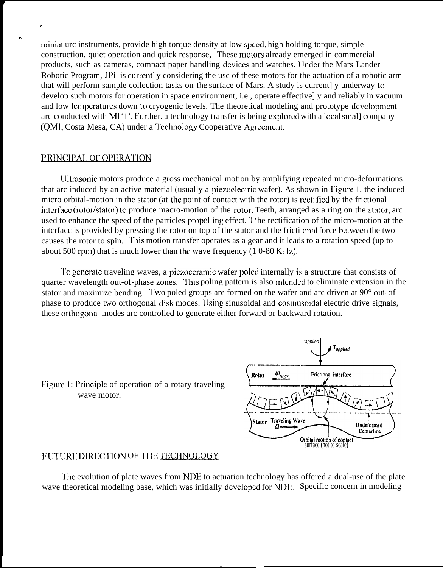.

miniat urc instruments, provide high torque density at low spccci, high holding torque, simple construction, quiet operation and quick response, These motors already emerged in commercial products, such as cameras, compact paper handling dcviccs and watches. lJndcr the Mars Lander Robotic Program, JPL is currently considering the usc of these motors for the actuation of a robotic arm that will perform sample collection tasks on the surface of Mars. A study is current] y underway to develop such motors for operation in space environment, i.e., operate effective] y and reliably in vacuum and low tcmpcraturcs down {o cryogenic levels. The theoretical modeling and prototype dcvclopmcnt arc conducted with MI '1'. Further, a technology transfer is being explored with a local small company (QMI, Costa Mesa, CA) under a Technology Cooperative Agreement.

## PRINCIPAL OF OPERATION

lJltrasonic motors produce a gross mechanical motion by amplifying repeated micro-deformations that arc induced by an active material (usually a piezoclectric wafer). As shown in Figure 1, the induced micro orbital-motion in the stator (at the point of contact with the rotor) is rccti fied by the frictional intcrfacc (rotor/stator) to produce macro-motion of the rotor. Teeth, arranged as a ring on the stator, arc used to enhance the speed of the particles propcllirg effect. '1 'he rectification of the micro-motion at the interface is provided by pressing the rotor on top of the stator and the fricti onal force between the two causes the rotor to spin. '1'his motion transfer operates as a gear and it leads to a rotation speed (up to about 500 rpm) that is much lower than the wave frequency (1 0-80 KIIx).

To generate traveling waves, a piezoceramic wafer poled internally is a structure that consists of quarter wavelength out-of-phase zones. 'l'his poling pattern is also intendeci to eliminate extension in the stator and maximize bending. Two poled groups are formed on the wafer and arc driven at 90° out-ofphase to produce two orthogonal disk modes. Using sinusoidal and cosinusoidal electric drive signals, these orthogona modes arc controlled to generate either forward or backward rotation.

Figure 1: Principle of operation of a rotary traveling wave motor.



## FUTURE DIRECTION OF THE TECHNOLOGY

'1'hc evolution of plate waves from NDE to actuation technology has offered a dual-use of the plate wave theoretical modeling base, which was initially developed for NDH. Specific concern in modeling

 $\overline{a}$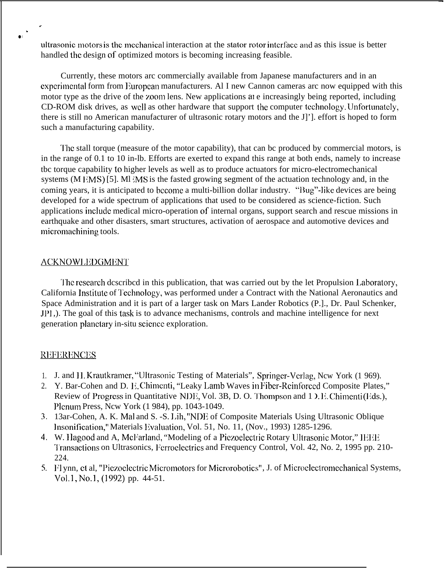ultrasonic motors is the mechanical interaction at the stator rotor interface and as this issue is better handled the design of optimized motors is becoming increasing feasible.

—

Currently, these motors arc commercially available from Japanese manufacturers and in an experimental form from European manufacturers. Al I new Cannon cameras arc now equipped with this motor type as the drive of the zoom lens. New applications at e increasingly being reported, including CD-ROM disk drives, as well as other hardware that support the computer technology. Unfortunately, there is still no American manufacturer of ultrasonic rotary motors and the J]']. effort is hoped to form such a manufacturing capability.

The stall torque (measure of the motor capability), that can bc produced by commercial motors, is in the range of 0.1 to 10 in-lb. Efforts are exerted to expand this range at both ends, namely to increase tbc torque capability to higher levels as well as to produce actuators for micro-electromechanical systems (M EMS) [5]. Ml MS is the fasted growing segment of the actuation technology and, in the coming years, it is anticipated to become a multi-billion dollar industry. "Bug"-like devices are being developed for a wide spectrum of applications that used to be considered as science-fiction. Such applications inc]udc medical micro-operation of internal organs, support search and rescue missions in earthquake and other disasters, smart structures, activation of aerospace and automotive devices and micromachining tools.

## **ACKNOWLEDGMENT**

The research described in this publication, that was carried out by the let Propulsion Laboratory, California Institute of Technology, was performed under a Contract with the National Aeronautics and Space Administration and it is part of a larger task on Mars Lander Robotics (P.]., Dr. Paul Schenker, JP1 ,). The goal of this task is to advance mechanisms, controls and machine intelligence for next generation p]anctary in-situ scicncc exploration.

## **REFERENCES**

- 1. J. and H. Krautkramer, "Ultrasonic Testing of Materials", Springer-Verlag, Ncw York (1969).
- 2. Y. Bar-Cohen and D. E. Chimenti, "Leaky Lamb Waves in Fiber-Reinforced Composite Plates," Review of Progress in Quantitative NDE, Vol. 3B, D. O. Thompson and 1 ). E. Chimenti (Eds.), P]cnum Press, Ncw York (1 984), pp. 1043-1049.
- 3. 13ar-Cohen, A. K. Mal and S. -S. Lih, "NDE of Composite Materials Using Ultrasonic Oblique lnsonification," Materials }Ivaluation, Vol. 51, No. 11, (Nov., 1993) 1285-1296.
- 4. W. Hagood and A, McFarland, "Modeling of a Piczoelectric Rotary Ultrasonic Motor," IEEE Transactions on Ultrasonics, Ferroelectrics and Frequency Control, Vol. 42, No. 2, 1995 pp. 210-224.
- 5. Flynn, et al, "Piezoelectric Micromotors for Microrobotics", J. of Microelectromechanical Systems, Vol.1, No.1, (1992) pp. 44-51.

● <sup>I</sup>

. .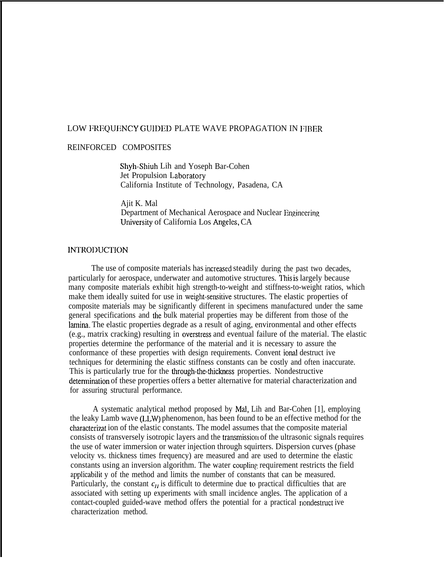## LOW FREQUENCY GUIDED PLATE WAVE PROPAGATION IN FIBER

## REINFORCED COMPOSITES

Shyh-Shiuh Lih and Yoseph Bar-Cohen Jet Propulsion L aboratory California Institute of Technology, Pasadena, CA

Ajit K. Mal Department of Mechanical Aerospace and Nuclear Engineering. University of California Los Angeles, CA

#### **INTRODUCTION**

The use of composite materials has increased steadily during the past two decades, particularly for aerospace, underwater and automotive structures. This is largely because many composite materials exhibit high strength-to-weight and stiffness-to-weight ratios, which make them ideally suited for use in weight-sensitive structures. The elastic properties of composite materials may be significantly different in specimens manufactured under the same general specifications and the bulk material properties may be different from those of the lamim. The elastic properties degrade as a result of aging, environmental and other effects (e.g., matrix cracking) resulting in overstress and eventual failure of the material. The elastic properties determine the performance of the material and it is necessary to assure the conformance of these properties with design requirements. Convent ioml destruct ive techniques for determining the elastic stiffness constants can be costly and often inaccurate. This is particularly true for the through-the-thickness properties. Nondestructive determination of these properties offers a better alternative for material characterization and for assuring structural performance.

A systematic analytical method proposed by Mal, Lih and Bar-Cohen [1], employing the leaky Lamb wave (LLW) phenomenon, has been found to be an effective method for the characterizit ion of the elastic constants. The model assumes that the composite material consists of transversely isotropic layers and the transmissiori of the ultrasonic signals requires the use of water immersion or water injection through squirters. Dispersion curves (phase velocity vs. thickness times frequency) are measured and are used to determine the elastic constants using an inversion algorithm. The water coupling requirement restricts the field applieabilit y of the method and limits the number of constants that can be measured. Particularly, the constant  $c_{ij}$  is difficult to determine due to practical difficulties that are associated with setting up experiments with small incidence angles. The application of a contact-coupled guided-wave method offers the potential for a practical nondesttuct ive characterization method.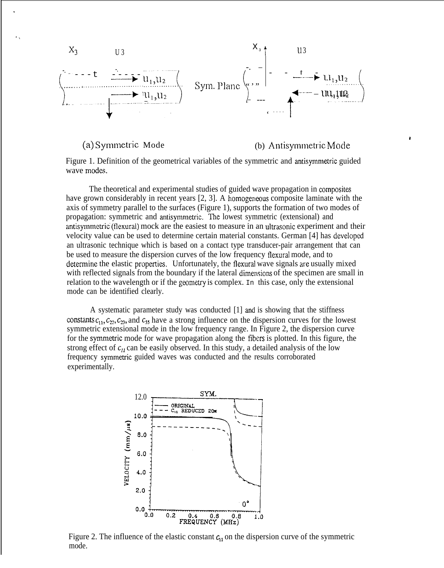

(a) Symmetric Mode

### (b) Antisymmetric Mode

I

Figure 1. Definition of the geometrical variables of the symmetric and antisymmetric guided wave modes.

The theoretical and experimental studies of guided wave propagation in composites have grown considerably in recent years  $[2, 3]$ . A homogeneous composite laminate with the axis of symmetry parallel to the surfaces (Figure 1), supports the formation of two modes of propagation: symmetric and antisymmetric. The lowest symmetric (extensional) and antisymmetric (flexural) mock are the easiest to measure in an ultrasonic experiment and their velocity value can be used to determine certain material constants. German [4] has developed an ultrasonic technique which is based on a contact type transducer-pair arrangement that can be used to measure the dispersion curves of the low frequency flexural mode, and to determine the elastic properties. Unfortunately, the flexural wave signals are usually mixed with reflected signals from the boundary if the lateral dimemions of the specimen are small in relation to the wavelength or if the geometry is complex. In this case, only the extensional mode can be identified clearly.

A systematic parameter study was conducted [1] and is showing that the stiffness constants  $c_{11}, c_{22}, c_{23}$ , and  $c_{55}$  have a strong influence on the dispersion curves for the lowest symmetric extensional mode in the low frequency range. In Figure 2, the dispersion curve for the symmetric mode for wave propagation along the fibers is plotted. In this figure, the strong effect of  $c_{11}$  can be easily observed. In this study, a detailed analysis of the low frequency symmetric guided waves was conducted and the results corroborated experimentally.



Figure 2. The influence of the elastic constant  $c<sub>1</sub>$  on the dispersion curve of the symmetric mode.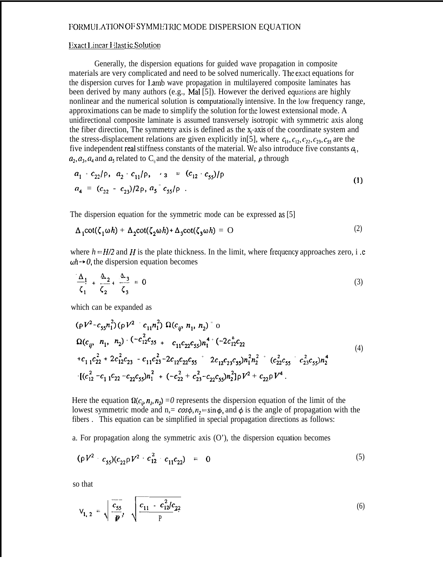#### FORMULATION OF SYMMETRIC MODE DISPERSION EQUATION

#### Exact Linear I Hast ic Solution

Generally, the dispersion equations for guided wave propagation in composite materials are very complicated and need to be solved numerically. The exact equations for the dispersion curves for Lamb wave propagation in multilayered composite laminates has been derived by many authors (e.g., Mal  $[5]$ ). However the derived equations are highly nonlinear and the numerical solution is computationally intensive. In the low frequency range, approximations can be made to simplify the solution for the lowest extensional mode. A unidirectional composite laminate is assumed transversely isotropic with symmetric axis along the fiber direction, The symmetry axis is defined as the  $x$ -axis of the coordinate system and the stress-displacement relations are given explicitly in[5], where  $c_{11}, c_{12}, c_{22}, c_{23}, c_{55}$  are the five independent real stiffness constants of the material. We also introduce five constants  $a_i$ ,  $a_1, a_3, a_4$  and  $a_5$  related to C<sub>i</sub> and the density of the material,  $\rho$  through

$$
a_1 \cdot c_{22}/\rho, \quad a_2 \cdot c_{11}/\rho, \quad \text{or} \quad s = (c_{12} \cdot c_{55})/\rho
$$
\n
$$
a_4 = (c_{22} - c_{23})/2\rho, \quad a_5 = c_{55}/\rho \quad .
$$
\n(1)

The dispersion equation for the symmetric mode can be expressed as [5]

$$
\Delta_1 \cot(\zeta_1 \omega h) + \Delta_2 \cot(\zeta_2 \omega h) + \Delta_3 \cot(\zeta_3 \omega h) = O \tag{2}
$$

where  $h = H/2$  and H is the plate thickness. In the limit, where frequency approaches zero, i.e.  $\omega h \rightarrow 0$ , the dispersion equation becomes

$$
\frac{\Delta_1}{\zeta_1} + \frac{\Delta_2}{\zeta_2} + \frac{\Delta_3}{\zeta_3} = 0 \tag{3}
$$

which can be expanded as

$$
(\rho V^2 - c_{55}n_1^2)(\rho V^2 - c_{11}n_1^2) \Omega(c_{ij}, n_1, n_2) = 0
$$
  
\n
$$
\Omega(c_{ij}, n_1, n_2) \cdot (-c_{12}^2 c_{55} + c_{11}c_{22}c_{55})n_1^{4+}(-2c_{12}^2 c_{22} + c_{11}c_{22}^2 + 2c_{12}^2 c_{23} - c_{11}c_{23}^2 - 2c_{12}c_{22}c_{55} + 2c_{12}c_{23}c_{55})n_1^2n_2^{2+} (c_{22}^2 c_{55} - c_{23}^2 c_{55})n_2^4 + [(c_{12}^2 - c_{11}c_{22} - c_{22}c_{55})n_1^2 + (-c_{22}^2 + c_{23}^2 - c_{22}c_{55})n_2^2]\rho V^2 + c_{22} \rho V^4.
$$
\n(4)

Here the equation  $\Omega(c_{ij}, n_i, n_j) = 0$  represents the dispersion equation of the limit of the lowest symmetric mode and  $n = cos\phi$ ,  $n_2 = sin \phi$ , and  $\phi$  is the angle of propagation with the fibers . This equation can be simplified in special propagation directions as follows:

a. For propagation along the symmetric axis  $(O')$ , the dispersion equation becomes

$$
(\rho V^2 - c_{55})(c_{22}\rho V^2 + c_{12}^2 - c_{11}c_{22}) = 0 \tag{5}
$$

so that

$$
V_{1, 2} = \sqrt{\frac{c_{55}}{P}}, \sqrt{\frac{c_{11} - c_{12}^2/c_{22}}{P}}
$$
 (6)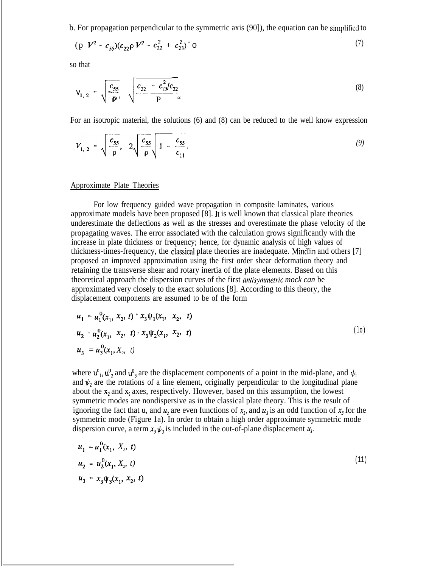b. For propagation perpendicular to the symmetric axis  $(90)$ , the equation can be simplified to

$$
(p V2 - c55)(c22 \rho V2 - c222 + c232)= \circ
$$
\n(7)

so that

$$
v_{1, 2} = \sqrt{\frac{c_{55}}{P}}, \sqrt{\frac{c_{22} - c_{23}^2/c_{22}}{P}}.
$$
 (8)

For an isotropic material, the solutions (6) and (8) can be reduced to the well know expression

$$
V_{1, 2} = \sqrt{\frac{c_{55}}{\rho}}, \quad 2\sqrt{\frac{c_{55}}{\rho}}\sqrt{1 - \frac{c_{55}}{c_{11}}}.
$$
 (9)

Approximate Plate Theories

For low frequency guided wave propagation in composite laminates, various approximate models have been proposed [8]. h is well known that classical plate theories underestimate the deflections as well as the stresses and overestimate the phase velocity of the propagating waves. The error associated with the calculation grows significantly with the increase in plate thickness or frequency; hence, for dynamic analysis of high values of thickness-times-frequency, the clasical plate theories are inadequate. Mindlin and others [7] proposed an improved approximation using the first order shear deformation theory and retaining the transverse shear and rotary inertia of the plate elements. Based on this theoretical approach the dispersion curves of the first *antisyrnmefric mock can* be approximated very closely to the exact solutions [8]. According to this theory, the displacement components are assumed to be of the form

$$
u_1 = u_1^0(x_1, x_2, t) * x_3 \psi_1(x_1, x_2, t)
$$
  
\n
$$
u_2 = u_2^0(x_1, x_2, t) * x_3 \psi_2(x_1, x_2, t)
$$
  
\n
$$
u_3 = u_3^0(x_1, X_2, t)
$$
\n(10)

where  $u^0_1, u^0_2$  and  $u^0_3$  are the displacement components of a point in the mid-plane, and  $\psi_1$ and  $\psi_2$  are the rotations of a line element, originally perpendicular to the longitudinal plane about the  $x_2$  and  $x_1$  axes, respectively. However, based on this assumption, the lowest symmetric modes are nondispersive as in the classical plate theory. This is the result of ignoring the fact that u, and u<sub>2</sub> are even functions of  $x_3$ , and  $u_3$  is an odd function of  $x_3$  for the symmetric mode (Figure 1a). In order to obtain a high order approximate symmetric mode dispersion curve, a term  $x_1 \psi_1$  is included in the out-of-plane displacement  $u_3$ .

$$
u_1 = u_1^0(x_1, X_2, t)
$$
  
\n
$$
u_2 = u_2^0(x_1, X_2, t)
$$
  
\n
$$
u_3 = x_3 \psi_3(x_1, x_2, t)
$$
\n(11)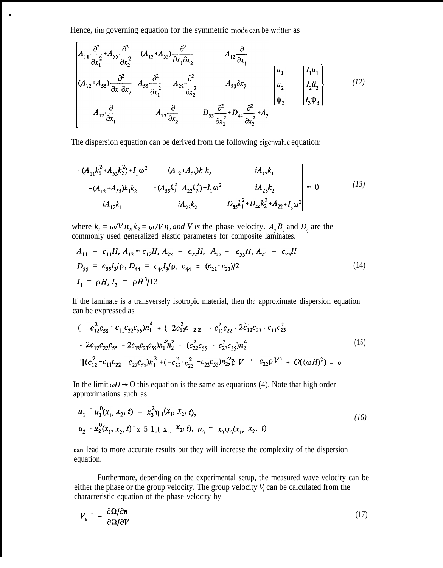Hence, the governing equation for the symmetric mode can be written as

\*

$$
\begin{vmatrix}\nA_{11} \frac{\partial^2}{\partial x_1^2} + A_{55} \frac{\partial^2}{\partial x_2^2} & (A_{12} + A_{55}) \frac{\partial^2}{\partial x_1 \partial x_2} & A_{12} \frac{\partial}{\partial x_1} \\
(A_{12} + A_{55}) \frac{\partial^2}{\partial x_1 \partial x_2} & A_{55} \frac{\partial^2}{\partial x_1^2} + A_{22} \frac{\partial^2}{\partial x_2^2} & A_{23} \partial x_2 \\
A_{12} \frac{\partial}{\partial x_1} & A_{23} \frac{\partial}{\partial x_2} & D_{55} \frac{\partial^2}{\partial x_1^2} + D_{44} \frac{\partial^2}{\partial x_2^2} + A_{2}\n\end{vmatrix}\n\begin{vmatrix}\nu_1 \\ u_2 \\ u_3 \end{vmatrix}\n\begin{vmatrix}\nI_1 \ddot{u}_1 \\ I_2 \ddot{u}_2 \\ I_3 \ddot{u}_3\n\end{vmatrix}
$$
\n
$$
(12)
$$

The dispersion equation can be derived from the following eigenvalue equation:

$$
-(A_{11}k_1^2 + A_{55}k_2^2) + I_1\omega^2 - (A_{12} + A_{55})k_1k_2
$$
  
\n
$$
-(A_{12} + A_{55})k_1k_2 - (A_{55}k_1^2 + A_{22}k_2^2) + I_1\omega^2
$$
  
\n $iA_{23}k_2$   
\n $iA_{23}k_2$   
\n $iiA_{23}k_2$   
\n $iiA_{23}k_2$   
\n $iiA_{23}k_2 + I_{3\omega^2}$ 

where  $k = \omega/V n_1, k_2 = \omega/V n_2$  *and V is* the phase velocity.  $A_{ij}B_{ij}$  and  $D_{ij}$  are the commonly used generalized elastic parameters for composite laminates.

$$
A_{11} = c_{11}H, A_{12} = c_{12}H, A_{22} = c_{22}H, A_{33} = c_{35}H, A_{23} = c_{23}H
$$
  
\n
$$
D_{55} = c_{55}I_3/\rho, D_{44} = c_{44}I_3/\rho, c_{44} = (c_{22}-c_{23})/2
$$
  
\n
$$
I_1 = \rho H, I_3 = \rho H^3/12
$$
\n(14)

If the laminate is a transversely isotropic material, then the approximate dispersion equation can be expressed as

$$
(-c_{12}^{2}c_{55} \cdot c_{11}c_{22}c_{55})n_{1}^{4} + (-2c_{12}^{2}c_{22} \cdot c_{11}^{2}c_{22} \cdot 2\tilde{c}_{12}c_{23} \cdot c_{11}c_{23}^{2})
$$
  
\n
$$
- 2c_{12}c_{22}c_{55} + 2c_{12}c_{23}c_{55})n_{1}^{2}n_{2}^{2} \cdot (c_{22}^{2}c_{55} - c_{23}^{2}c_{55})n_{2}^{4}
$$
  
\n
$$
+ [(c_{12}^{2} - c_{11}c_{22} - c_{22}c_{55})n_{1}^{2} + (-c_{22}^{2} \cdot c_{23}^{2} - c_{22}c_{55})n_{2}^{2}]pV + c_{22}pV^{4} + O((\omega H)^{2}) = \infty
$$
\n
$$
(15)
$$

In the limit  $\omega H \rightarrow O$  this equation is the same as equations (4). Note that high order approximations such as

$$
u_1 = u_1^0(x_1, x_2, t) + x_3^2 \eta_1(x_1, x_2, t),
$$
  
\n
$$
u_2 = u_2^0(x_1, x_2, t)^+ x 5 1_x(x_1, x_2, t), u_3 = x_3 \psi_3(x_1, x_2, t)
$$
 (16)

**can** lead to more accurate results but they will increase the complexity of the dispersion equation.

Furthermore, depending on the experimental setup, the measured wave velocity can be either the phase or the group velocity. The group velocity  $V_{\text{c}}$  can be calculated from the characteristic equation of the phase velocity by

$$
V_e = \frac{\partial \Omega / \partial n}{\partial \Omega / \partial V} \tag{17}
$$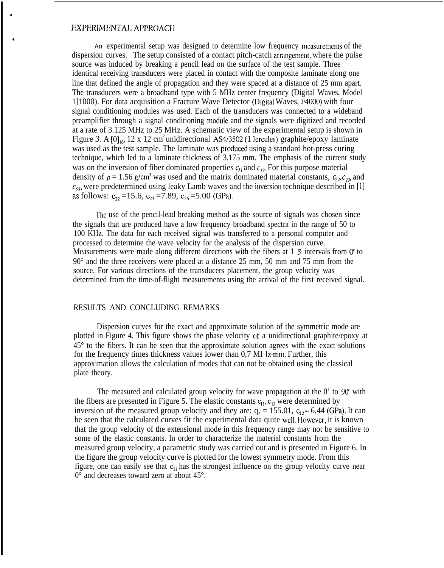#### EXPERIMENTAL APPROACH

\*

,

An experimental setup was designed to determine low frequency measurements of the dispersion curves. The setup consisted of a contact pitch-catch arrangement, where the pulse source was induced by breaking a pencil lead on the surface of the test sample. Three identical receiving transducers were placed in contact with the composite laminate along one line that defined the angle of propagation and they were spaced at a distance of 25 mm apart. The transducers were a broadband type with 5 MHz center frequency (Digital Waves, Model 1]1000). For data acquisition a Fracture Wave Detector (I)igital Waves, 1~4000) with four signal conditioning modules was used. Each of the transducers was connected to a wideband preamplifier through a signal conditioning module and the signals were digitized and recorded at a rate of 3.125 MHz to 25 MHz. A schematic view of the experimental setup is shown in Figure 3. A [0]<sub>16</sub>, 12 x 12 cm<sup>2</sup>unidirectional AS4/3502 (1 lercules) graphite/epoxy laminate was used as the test sample. The laminate was produced using a standard hot-press curing technique, which led to a laminate thickness of 3.175 mm. The emphasis of the current study was on the inversion of fiber dominated properties  $c_{ij}$  and  $c_{ij}$ . For this purpose material density of  $\rho = 1.56$  g/cm<sup>3</sup> was used and the matrix dominated material constants,  $c_{22}$ ,  $c_{23}$ , and  $c_{55}$ , were predetermined using leaky Lamb waves and the inversion technique described in [1] as follows:  $c_{22} = 15.6$ ,  $c_{23} = 7.89$ ,  $c_{55} = 5.00$  (GPa).

The use of the pencil-lead breaking method as the source of signals was chosen since the signals that are produced have a low frequency broadband spectra in the range of 50 to 100 KHz. The data for each received signal was transferred to a personal computer and processed to determine the wave velocity for the analysis of the dispersion curve. Measurements were made along different directions with the fibers at 1  $\bar{y}$  intervals from  $\hat{y}$  to 90° and the three receivers were placed at a distance 25 mm, 50 mm and 75 mm from the source. For various directions of the transducers placement, the group velocity was determined from the time-of-flight measurements using the arrival of the first received signal.

### RESULTS AND CONCLUDING REMARKS

Dispersion curves for the exact and approximate solution of the symmetric mode are plotted in Figure 4. This figure shows the phase velocity of a unidirectional graphite/epoxy at 45° to the fibers. It can be seen that the approximate solution agrees with the exact solutions for the frequency times thickness values lower than 0,7 MI Iz-mm. Further, this approximation allows the calculation of modes that can not be obtained using the classical plate theory.

The measured and calculated group velocity for wave propagation at the 0' to 90' with the fibers are presented in Figure 5. The elastic constants  $c_{11}, c_{12}$  were determined by inversion of the measured group velocity and they are:  $q_1 = 155.01$ ,  $c_{12} = 6,44$  (GPa). It can be seen that the calculated curves fit the experimental data quite well. However, it is known that the group velocity of the extensional mode in this frequency range may not be sensitive to some of the elastic constants. In order to characterize the material constants from the measured group velocity, a parametric study was carried out and is presented in Figure 6. In the figure the group velocity curve is plotted for the lowest symmetry mode. From this figure, one can easily see that  $c_{11}$  has the strongest influence on the group velocity curve near 0° and decreases toward zero at about 45°.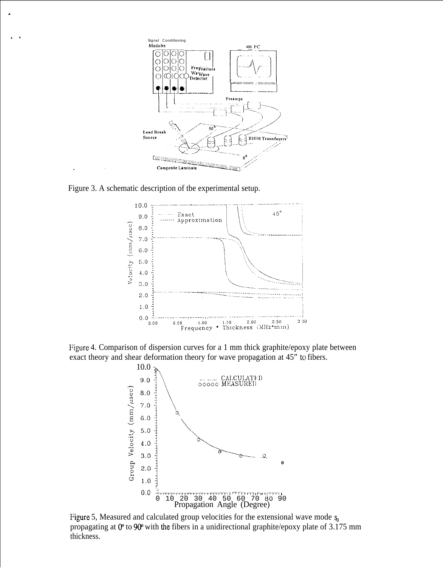

Figure 3. A schematic description of the experimental setup.



Figure 4. Comparison of dispersion curves for a 1 mm thick graphite/epoxy plate between exact theory and shear deformation theory for wave propagation at 45" to fibers.



Figure 5, Measured and calculated group velocities for the extensional wave mode  $s_0$ propagating at 0° to 90° with the fibers in a unidirectional graphite/epoxy plate of 3.175 mm thickness.